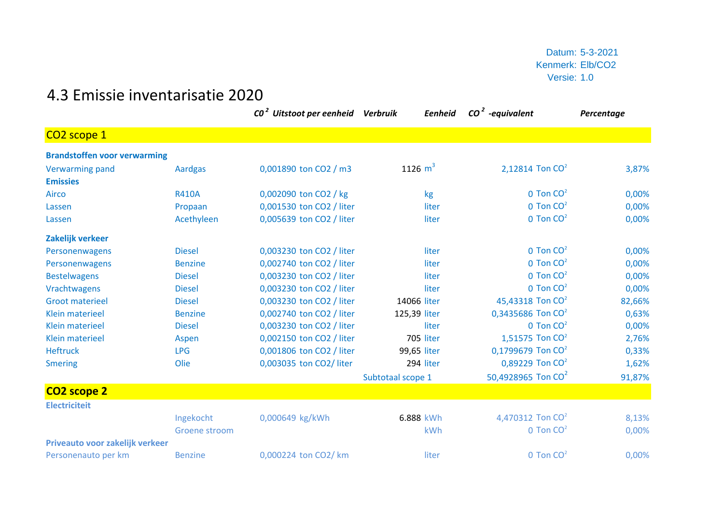Datum: 5-3-2021 Kenmerk: Elb/CO2 Versie: 1.0

## 4.3 Emissie inventarisatie 2020

|                                     |                | CO <sup>2</sup> Uitstoot per eenheid Verbruik | Eenheid           | $CO2$ -equivalent              | Percentage |
|-------------------------------------|----------------|-----------------------------------------------|-------------------|--------------------------------|------------|
| CO <sub>2</sub> scope 1             |                |                                               |                   |                                |            |
| <b>Brandstoffen voor verwarming</b> |                |                                               |                   |                                |            |
| <b>Verwarming pand</b>              | <b>Aardgas</b> | 0,001890 ton CO2 / m3                         | 1126 $m^3$        | 2,12814 Ton CO <sup>2</sup>    | 3,87%      |
| <b>Emissies</b>                     |                |                                               |                   |                                |            |
| Airco                               | <b>R410A</b>   | 0,002090 ton CO2 / kg                         | kg                | $0$ Ton $CO2$                  | 0,00%      |
| Lassen                              | Propaan        | 0,001530 ton CO2 / liter                      | liter             | $0$ Ton $CO2$                  | 0,00%      |
| Lassen                              | Acethyleen     | 0,005639 ton CO2 / liter                      | liter             | $0$ Ton $CO2$                  | 0,00%      |
| Zakelijk verkeer                    |                |                                               |                   |                                |            |
| Personenwagens                      | <b>Diesel</b>  | 0,003230 ton CO2 / liter                      | liter             | $0$ Ton $CO2$                  | 0,00%      |
| Personenwagens                      | <b>Benzine</b> | 0,002740 ton CO2 / liter                      | liter             | $0$ Ton $CO2$                  | 0,00%      |
| <b>Bestelwagens</b>                 | <b>Diesel</b>  | 0,003230 ton CO2 / liter                      | liter             | $0$ Ton $CO2$                  | 0,00%      |
| Vrachtwagens                        | <b>Diesel</b>  | 0,003230 ton CO2 / liter                      | liter             | $0$ Ton $CO2$                  | 0,00%      |
| <b>Groot materieel</b>              | <b>Diesel</b>  | 0,003230 ton CO2 / liter                      | 14066 liter       | 45,43318 Ton CO <sup>2</sup>   | 82,66%     |
| <b>Klein materieel</b>              | <b>Benzine</b> | 0,002740 ton CO2 / liter                      | 125,39 liter      | 0,3435686 Ton CO <sup>2</sup>  | 0,63%      |
| <b>Klein materieel</b>              | <b>Diesel</b>  | 0,003230 ton CO2 / liter                      | liter             | $0$ Ton $CO2$                  | 0,00%      |
| <b>Klein materieel</b>              | Aspen          | 0,002150 ton CO2 / liter                      | 705 liter         | 1,51575 Ton CO <sup>2</sup>    | 2,76%      |
| <b>Heftruck</b>                     | <b>LPG</b>     | 0,001806 ton CO2 / liter                      | 99,65 liter       | 0,1799679 Ton CO <sup>2</sup>  | 0,33%      |
| <b>Smering</b>                      | Olie           | 0,003035 ton CO2/ liter                       | 294 liter         | 0,89229 Ton CO <sup>2</sup>    | 1,62%      |
|                                     |                |                                               | Subtotaal scope 1 | 50,4928965 Ton CO <sup>2</sup> | 91,87%     |
| CO2 scope 2                         |                |                                               |                   |                                |            |
| <b>Electriciteit</b>                |                |                                               |                   |                                |            |
|                                     | Ingekocht      | 0,000649 kg/kWh                               | 6.888 kWh         | 4,470312 Ton CO <sup>2</sup>   | 8,13%      |
|                                     | Groene stroom  |                                               | kWh               | $0$ Ton $CO2$                  | 0,00%      |
| Priveauto voor zakelijk verkeer     |                |                                               |                   |                                |            |
| Personenauto per km                 | <b>Benzine</b> | 0,000224 ton CO2/ km                          | liter             | $0$ Ton $CO2$                  | 0,00%      |